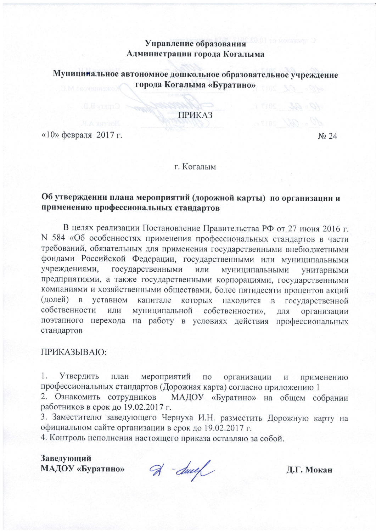# Управление образования Администрации города Когалыма

Муницинальное автономное дошкольное образовательное учреждение города Когалыма «Буратино»

### **ПРИКАЗ**

 $\langle 10 \rangle$  февраля 2017 г.

No 24

г. Когалым

# Об утверждении плана мероприятий (дорожной карты) по организации и применению профессиональных стандартов

В целях реализации Постановление Правительства РФ от 27 июня 2016 г. N 584 «Об особенностях применения профессиональных стандартов в части требований, обязательных для применения государственными внебюджетными фондами Российской Федерации, государственными или муниципальными учреждениями. государственными или муниципальными унитарными предприятиями, а также государственными корпорациями, государственными компаниями и хозяйственными обществами, более пятидесяти процентов акций (долей)  $\overline{B}$ уставном капитале которых находится в государственной собственности собственности», муниципальной ИЛИ организации ДЛЯ поэтапного перехода на работу в условиях действия профессиональных стандартов

# ПРИКАЗЫВАЮ:

 $1$ . Утвердить план мероприятий  $\Pi{\rm O}$ организации  $\,$  M применению профессиональных стандартов (Дорожная карта) согласно приложению 1

2. Ознакомить сотрудников МАДОУ «Буратино» на общем собрании работников в срок до 19.02.2017 г.

3. Заместителю заведующего Чернуха И.Н. разместить Дорожную карту на официальном сайте организации в срок до 19.02.2017 г.

4. Контроль исполнения настоящего приказа оставляю за собой.

Заведующий МАДОУ «Буратино»

 $\mathcal{A}$  -duel

Д.Г. Мокан